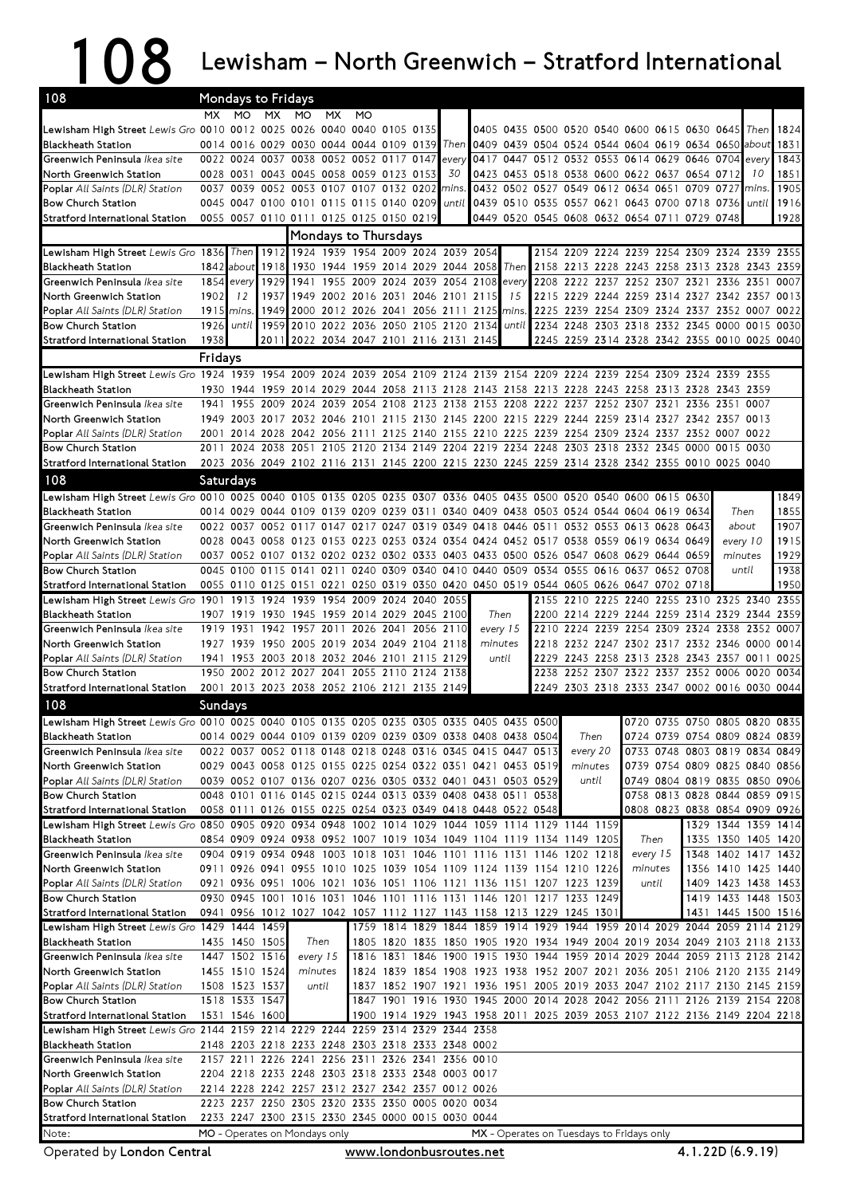## 108 Lewisham – North Greenwich – Stratford International

| 108                                                                                                                           | Mondays to Fridays                                                     |                |              |                                                                                                                                                |           |           |  |  |       |      |             |      |                |      |                                                                            |                               |                                            |       |              |
|-------------------------------------------------------------------------------------------------------------------------------|------------------------------------------------------------------------|----------------|--------------|------------------------------------------------------------------------------------------------------------------------------------------------|-----------|-----------|--|--|-------|------|-------------|------|----------------|------|----------------------------------------------------------------------------|-------------------------------|--------------------------------------------|-------|--------------|
|                                                                                                                               | MX.                                                                    | MO             | <b>MX</b>    | MO                                                                                                                                             | <b>MX</b> | <b>MO</b> |  |  |       |      |             |      |                |      |                                                                            |                               |                                            |       |              |
| Lewisham High Street Lewis Gro 0010 0012 0025 0026 0040 0040 0105 0135                                                        |                                                                        |                |              |                                                                                                                                                |           |           |  |  |       |      |             |      |                |      | 0405 0435 0500 0520 0540 0600 0615 0630 0645                               |                               |                                            | Then  | 1824         |
| Blackheath Station                                                                                                            |                                                                        |                |              | 0014 0016 0029 0030 0044 0044 0109 0139 Then                                                                                                   |           |           |  |  |       |      |             |      |                |      | 0409 0439 0504 0524 0544 0604 0619 0634 0650                               |                               |                                            | about | 1831         |
| Greenwich Peninsula <i>Ikea site</i>                                                                                          |                                                                        |                |              | 0022 0024 0037 0038 0052 0052 0117 0147                                                                                                        |           |           |  |  | every |      |             |      |                |      | 0417 0447 0512 0532 0553 0614 0629 0646 0704                               |                               |                                            | every | 1843         |
| North Greenwich Station                                                                                                       |                                                                        |                |              | 0028 0031 0043 0045 0058 0059 0123 0153                                                                                                        |           |           |  |  | 30    |      |             |      |                |      | 0423 0453 0518 0538 0600 0622 0637 0654 0712                               |                               |                                            | 10    | 1851         |
| <b>Poplar</b> All Saints (DLR) Station                                                                                        |                                                                        |                |              | 0037 0039 0052 0053 0107 0107 0132 0202                                                                                                        |           |           |  |  | mins  |      |             |      |                |      | 0432 0502 0527 0549 0612 0634 0651 0709 0727                               |                               |                                            | mins. | 1905         |
| <b>Bow Church Station</b>                                                                                                     |                                                                        |                |              | 0045 0047 0100 0101 0115 0115 0140 0209                                                                                                        |           |           |  |  | until |      |             |      |                |      | 0439 0510 0535 0557 0621 0643 0700 0718 0736                               |                               |                                            | until | 1916         |
| Stratford International Station                                                                                               |                                                                        |                |              | 0055 0057 0110 0111 0125 0125 0150 0219                                                                                                        |           |           |  |  |       |      |             |      |                |      | 0449 0520 0545 0608 0632 0654 0711 0729 0748                               |                               |                                            |       | 1928         |
|                                                                                                                               | <b>Mondays to Thursdays</b><br>1912 1924 1939 1954 2009 2024 2039 2054 |                |              |                                                                                                                                                |           |           |  |  |       |      |             |      |                |      |                                                                            |                               |                                            |       |              |
| Lewisham High Street Lewis Gro 1836 Then                                                                                      |                                                                        |                |              |                                                                                                                                                |           |           |  |  |       |      |             |      |                |      | 2154 2209 2224 2239 2254 2309 2324 2339 2355                               |                               |                                            |       |              |
| <b>Blackheath Station</b>                                                                                                     |                                                                        | 1842 about     | 1918         | 1930 1944 1959 2014 2029 2044 2058                                                                                                             |           |           |  |  |       |      | Then        |      | 2158 2213 2228 |      | 2243 2258 2313 2328 2343 2359                                              |                               |                                            |       |              |
| Greenwich Peninsula Ikea site                                                                                                 | 1854                                                                   | every          | 1929         | 1941 1955 2009 2024 2039 2054 2108                                                                                                             |           |           |  |  |       |      | every<br>15 | 2208 | 2222           | 2237 | 2252 2307 2321<br>2229 2244 2259 2314 2327 2342 2357                       |                               | 2336 2351                                  |       | 0007<br>0013 |
| North Greenwich Station<br><b>Poplar</b> All Saints (DLR) Station                                                             | 1902<br>1915 mins.                                                     | 12             | 1937<br>1949 | 1949 2002 2016 2031 2046 2101<br>2000 2012 2026 2041 2056 2111 2125 mins.                                                                      |           |           |  |  |       | 2115 |             | 2215 |                |      | 2225 2239 2254 2309 2324 2337 2352 0007                                    |                               |                                            |       | 0022         |
| <b>Bow Church Station</b>                                                                                                     | 1926                                                                   | until          | 1959         | 2010 2022 2036 2050 2105 2120 2134                                                                                                             |           |           |  |  |       |      | until       |      |                |      | 2234 2248 2303 2318 2332 2345 0000 0015                                    |                               |                                            |       | 0030         |
| Stratford International Station                                                                                               | 1938                                                                   |                | 2011         | 2022 2034 2047 2101 2116 2131 2145                                                                                                             |           |           |  |  |       |      |             |      |                |      | 2245 2259 2314 2328 2342 2355 0010 0025 0040                               |                               |                                            |       |              |
|                                                                                                                               |                                                                        |                |              |                                                                                                                                                |           |           |  |  |       |      |             |      |                |      |                                                                            |                               |                                            |       |              |
| Lewisham High Street Lewis Gro 1924 1939 1954 2009 2024 2039 2054 2109 2124 2139 2154 2209 2224 2239 2254 2309 2324 2339 2355 | Fridays                                                                |                |              |                                                                                                                                                |           |           |  |  |       |      |             |      |                |      |                                                                            |                               |                                            |       |              |
| <b>Blackheath Station</b>                                                                                                     |                                                                        |                |              | 1930 1944 1959 2014 2029 2044 2058 2113 2128 2143 2158 2213 2228 2243 2258 2313 2328 2343 2359                                                 |           |           |  |  |       |      |             |      |                |      |                                                                            |                               |                                            |       |              |
| Greenwich Peninsula Ikea site                                                                                                 |                                                                        |                |              | 1941 1955 2009 2024 2039 2054 2108 2123 2138 2153 2208 2222 2237 2252 2307 2321                                                                |           |           |  |  |       |      |             |      |                |      |                                                                            | 2336 2351 0007                |                                            |       |              |
| North Greenwich Station                                                                                                       |                                                                        |                |              | 1949 2003 2017 2032 2046 2101 2115 2130 2145 2200 2215 2229 2244 2259 2314 2327 2342 2357 0013                                                 |           |           |  |  |       |      |             |      |                |      |                                                                            |                               |                                            |       |              |
| <b>Poplar</b> All Saints (DLR) Station                                                                                        |                                                                        |                |              | 2001 2014 2028 2042 2056 2111 2125 2140 2155 2210 2225 2239 2254 2309 2324 2337 2352 0007 0022                                                 |           |           |  |  |       |      |             |      |                |      |                                                                            |                               |                                            |       |              |
| <b>Bow Church Station</b>                                                                                                     |                                                                        |                |              | 2011 2024 2038 2051 2105 2120 2134 2149 2204 2219 2234 2248 2303 2318 2332 2345 0000 0015 0030                                                 |           |           |  |  |       |      |             |      |                |      |                                                                            |                               |                                            |       |              |
| Stratford International Station                                                                                               |                                                                        |                |              | 2023 2036 2049 2102 2116 2131 2145 2200 2215 2230 2245 2259 2314 2328 2342 2355 0010 0025 0040                                                 |           |           |  |  |       |      |             |      |                |      |                                                                            |                               |                                            |       |              |
| 108                                                                                                                           |                                                                        | Saturdays      |              |                                                                                                                                                |           |           |  |  |       |      |             |      |                |      |                                                                            |                               |                                            |       |              |
| Lewisham High Street Lewis Gro 0010 0025 0040 0105 0135 0205 0235 0307 0336 0405 0435 0500 0520 0540 0600 0615 0630           |                                                                        |                |              |                                                                                                                                                |           |           |  |  |       |      |             |      |                |      |                                                                            |                               |                                            |       | 1849         |
| Blackheath Station                                                                                                            |                                                                        |                |              | 0014 0029 0044 0109 0139 0209 0239 0311 0340 0409 0438 0503 0524 0544 0604 0619 0634                                                           |           |           |  |  |       |      |             |      |                |      |                                                                            |                               | Then                                       |       | 1855         |
| Greenwich Peninsula Ikea site                                                                                                 |                                                                        |                |              | 0022 0037 0052 0117 0147 0217 0247 0319 0349 0418 0446 0511                                                                                    |           |           |  |  |       |      |             |      |                |      | 0532 0553 0613 0628 0643                                                   |                               | about                                      |       | 1907         |
| North Greenwich Station                                                                                                       |                                                                        |                |              | 0028 0043 0058 0123 0153 0223 0253 0324 0354 0424 0452 0517 0538 0559 0619 0634 0649                                                           |           |           |  |  |       |      |             |      |                |      |                                                                            |                               | every 10                                   |       | 1915         |
| <b>Poplar</b> All Saints (DLR) Station                                                                                        |                                                                        |                |              | 0037 0052 0107 0132 0202 0232 0302 0333 0403 0433 0500 0526 0547 0608 0629 0644 0659                                                           |           |           |  |  |       |      |             |      |                |      |                                                                            |                               | minutes                                    |       | 1929         |
| <b>Bow Church Station</b>                                                                                                     |                                                                        |                |              | 0045 0100 0115 0141 0211 0240 0309 0340 0410 0440 0509 0534 0555 0616 0637 0652 0708                                                           |           |           |  |  |       |      |             |      |                |      |                                                                            |                               | until                                      |       | 1938         |
| Stratford International Station                                                                                               |                                                                        |                |              | 0055 0110 0125 0151 0221 0250 0319 0350 0420 0450 0519 0544 0605 0626 0647 0702 0718                                                           |           |           |  |  |       |      |             |      |                |      |                                                                            |                               |                                            |       | 1950         |
| Lewisham High Street Lewis Gro 1901 1913 1924 1939 1954 2009 2024 2040 2055                                                   |                                                                        |                |              |                                                                                                                                                |           |           |  |  |       |      |             |      |                |      | 2155 2210 2225 2240 2255 2310 2325 2340                                    |                               |                                            |       | 2355         |
| Blackheath Station                                                                                                            |                                                                        |                |              | 1907 1919 1930 1945 1959 2014 2029 2045 2100                                                                                                   |           |           |  |  |       |      | Then        |      |                |      | 2200 2214 2229 2244 2259 2314 2329 2344 2359                               |                               |                                            |       |              |
| Greenwich Peninsula Ikea site                                                                                                 |                                                                        |                |              | 1919 1931 1942 1957 2011 2026 2041 2056 2110                                                                                                   |           |           |  |  |       |      | every 15    | 2210 |                |      | 2224 2239 2254 2309 2324 2338 2352                                         |                               |                                            |       | 0007         |
| North Greenwich Station                                                                                                       |                                                                        |                |              | 1927 1939 1950 2005 2019 2034 2049 2104 2118                                                                                                   |           |           |  |  |       |      | minutes     |      |                |      | 2218 2232 2247 2302 2317 2332 2346 0000                                    |                               |                                            |       | 0014         |
| <b>Poplar</b> All Saints (DLR) Station                                                                                        | 1941                                                                   |                |              | 1953 2003 2018 2032 2046 2101 2115 2129                                                                                                        |           |           |  |  |       |      | until       | 2229 |                |      | 2243 2258 2313 2328 2343 2357 0011                                         |                               |                                            |       | 0025         |
| <b>Bow Church Station</b>                                                                                                     |                                                                        |                |              | 1950 2002 2012 2027 2041 2055 2110 2124 2138                                                                                                   |           |           |  |  |       |      |             |      |                |      | 2238 2252 2307 2322 2337 2352 0006 0020                                    |                               |                                            |       | 0034         |
| Stratford International Station                                                                                               |                                                                        |                |              | 2001 2013 2023 2038 2052 2106 2121 2135 2149                                                                                                   |           |           |  |  |       |      |             |      |                |      | 2249 2303 2318 2333 2347 0002 0016 0030 0044                               |                               |                                            |       |              |
| 108                                                                                                                           | <b>Sundays</b>                                                         |                |              |                                                                                                                                                |           |           |  |  |       |      |             |      |                |      |                                                                            |                               |                                            |       |              |
| Lewisham High Street Lewis Gro 0010 0025 0040 0105 0135 0205 0235 0305 0335 0405 0435 0500                                    |                                                                        |                |              |                                                                                                                                                |           |           |  |  |       |      |             |      |                |      |                                                                            | 0720 0735 0750 0805 0820 0835 |                                            |       |              |
| <b>Blackheath Station</b>                                                                                                     |                                                                        |                |              | 0014 0029 0044 0109 0139 0209 0239 0309 0338 0408 0438 0504                                                                                    |           |           |  |  |       |      |             |      | Then           |      |                                                                            | 0724 0739 0754 0809 0824 0839 |                                            |       |              |
| Greenwich Peninsula Ikea site                                                                                                 |                                                                        |                |              | 0022 0037 0052 0118 0148 0218 0248 0316 0345 0415 0447 0513                                                                                    |           |           |  |  |       |      |             |      | every 20       |      |                                                                            | 0733 0748 0803 0819 0834 0849 |                                            |       |              |
| North Greenwich Station                                                                                                       |                                                                        |                |              | 0029 0043 0058 0125 0155 0225 0254 0322 0351 0421 0453 0519                                                                                    |           |           |  |  |       |      |             |      | minutes        |      |                                                                            | 0739 0754 0809 0825 0840 0856 |                                            |       |              |
| <b>Poplar</b> All Saints (DLR) Station                                                                                        |                                                                        |                |              | 0039 0052 0107 0136 0207 0236 0305 0332 0401 0431 0503 0529                                                                                    |           |           |  |  |       |      |             |      | until          |      |                                                                            | 0749 0804 0819 0835 0850 0906 |                                            |       |              |
| <b>Bow Church Station</b>                                                                                                     |                                                                        |                |              | 0048 0101 0116 0145 0215 0244 0313 0339 0408 0438 0511 0538                                                                                    |           |           |  |  |       |      |             |      |                |      |                                                                            | 0758 0813 0828 0844 0859 0915 |                                            |       |              |
| Stratford International Station                                                                                               |                                                                        |                |              | 0058 0111 0126 0155 0225 0254 0323 0349 0418 0448 0522 0548                                                                                    |           |           |  |  |       |      |             |      |                |      |                                                                            | 0808 0823 0838 0854 0909 0926 |                                            |       |              |
| Lewisham High Street Lewis Gro 0850 0905 0920 0934 0948 1002 1014 1029 1044 1059 1114 1129 1144 1159                          |                                                                        |                |              |                                                                                                                                                |           |           |  |  |       |      |             |      |                |      |                                                                            |                               | 1329 1344 1359 1414                        |       |              |
| <b>Blackheath Station</b><br>Greenwich Peninsula Ikea site                                                                    |                                                                        |                |              | 0854 0909 0924 0938 0952 1007 1019 1034 1049 1104 1119 1134 1149 1205<br>0904 0919 0934 0948 1003 1018 1031 1046 1101 1116 1131 1146 1202 1218 |           |           |  |  |       |      |             |      |                |      | Then                                                                       |                               | 1335 1350 1405 1420<br>1348 1402 1417 1432 |       |              |
| North Greenwich Station                                                                                                       |                                                                        |                |              | 0911 0926 0941 0955 1010 1025 1039 1054 1109 1124 1139 1154 1210 1226                                                                          |           |           |  |  |       |      |             |      |                |      | every 15<br>minutes                                                        |                               | 1356 1410 1425 1440                        |       |              |
| <b>Poplar</b> All Saints (DLR) Station                                                                                        |                                                                        |                |              | 0921 0936 0951 1006 1021 1036 1051 1106 1121 1136 1151 1207 1223 1239                                                                          |           |           |  |  |       |      |             |      |                |      | until                                                                      |                               | 1409 1423 1438 1453                        |       |              |
| <b>Bow Church Station</b>                                                                                                     |                                                                        |                |              | 0930 0945 1001 1016 1031 1046 1101 1116 1131 1146 1201 1217 1233 1249                                                                          |           |           |  |  |       |      |             |      |                |      |                                                                            |                               | 1419 1433 1448 1503                        |       |              |
| Stratford International Station                                                                                               |                                                                        |                |              | 0941 0956 1012 1027 1042 1057 1112 1127 1143 1158 1213 1229 1245 1301                                                                          |           |           |  |  |       |      |             |      |                |      |                                                                            |                               | 1431 1445 1500 1516                        |       |              |
| Lewisham High Street Lewis Gro 1429 1444 1459                                                                                 |                                                                        |                |              |                                                                                                                                                |           |           |  |  |       |      |             |      |                |      | 1759 1814 1829 1844 1859 1914 1929 1944 1959 2014 2029 2044 2059 2114 2129 |                               |                                            |       |              |
| Blackheath Station                                                                                                            |                                                                        | 1435 1450 1505 |              | Then                                                                                                                                           |           |           |  |  |       |      |             |      |                |      | 1805 1820 1835 1850 1905 1920 1934 1949 2004 2019 2034 2049 2103 2118 2133 |                               |                                            |       |              |
| Greenwich Peninsula Ikea site                                                                                                 |                                                                        | 1447 1502 1516 |              | every 15                                                                                                                                       |           |           |  |  |       |      |             |      |                |      | 1816 1831 1846 1900 1915 1930 1944 1959 2014 2029 2044 2059 2113 2128 2142 |                               |                                            |       |              |
| North Greenwich Station                                                                                                       |                                                                        | 1455 1510 1524 |              | minutes                                                                                                                                        |           |           |  |  |       |      |             |      |                |      | 1824 1839 1854 1908 1923 1938 1952 2007 2021 2036 2051 2106 2120 2135 2149 |                               |                                            |       |              |
| <b>Poplar</b> All Saints (DLR) Station                                                                                        |                                                                        | 1508 1523 1537 |              | until                                                                                                                                          |           |           |  |  |       |      |             |      |                |      | 1837 1852 1907 1921 1936 1951 2005 2019 2033 2047 2102 2117 2130 2145 2159 |                               |                                            |       |              |
| <b>Bow Church Station</b>                                                                                                     |                                                                        | 1518 1533 1547 |              |                                                                                                                                                |           |           |  |  |       |      |             |      |                |      | 1847 1901 1916 1930 1945 2000 2014 2028 2042 2056 2111 2126 2139 2154 2208 |                               |                                            |       |              |
| Stratford International Station                                                                                               |                                                                        | 1531 1546 1600 |              |                                                                                                                                                |           |           |  |  |       |      |             |      |                |      | 1900 1914 1929 1943 1958 2011 2025 2039 2053 2107 2122 2136 2149 2204 2218 |                               |                                            |       |              |
| Lewisham High Street Lewis Gro 2144 2159 2214 2229 2244 2259 2314 2329 2344 2358                                              |                                                                        |                |              |                                                                                                                                                |           |           |  |  |       |      |             |      |                |      |                                                                            |                               |                                            |       |              |
| Blackheath Station                                                                                                            |                                                                        |                |              | 2148 2203 2218 2233 2248 2303 2318 2333 2348 0002                                                                                              |           |           |  |  |       |      |             |      |                |      |                                                                            |                               |                                            |       |              |
| Greenwich Peninsula Ikea site                                                                                                 |                                                                        |                |              | 2157 2211 2226 2241 2256 2311 2326 2341 2356 0010                                                                                              |           |           |  |  |       |      |             |      |                |      |                                                                            |                               |                                            |       |              |
| North Greenwich Station                                                                                                       |                                                                        |                |              | 2204 2218 2233 2248 2303 2318 2333 2348 0003 0017                                                                                              |           |           |  |  |       |      |             |      |                |      |                                                                            |                               |                                            |       |              |
| <b>Poplar</b> All Saints (DLR) Station                                                                                        |                                                                        |                |              | 2214 2228 2242 2257 2312 2327 2342 2357 0012 0026                                                                                              |           |           |  |  |       |      |             |      |                |      |                                                                            |                               |                                            |       |              |
| <b>Bow Church Station</b>                                                                                                     |                                                                        |                |              | 2223 2237 2250 2305 2320 2335 2350 0005 0020 0034                                                                                              |           |           |  |  |       |      |             |      |                |      |                                                                            |                               |                                            |       |              |
| Stratford International Station                                                                                               |                                                                        |                |              | 2233 2247 2300 2315 2330 2345 0000 0015 0030 0044                                                                                              |           |           |  |  |       |      |             |      |                |      |                                                                            |                               |                                            |       |              |
| Note:                                                                                                                         |                                                                        |                |              | MO - Operates on Mondays only                                                                                                                  |           |           |  |  |       |      |             |      |                |      | MX - Operates on Tuesdays to Fridays only                                  |                               |                                            |       |              |

Operated by London Central www.londonbusroutes.net 4.1.22D (6.9.19)